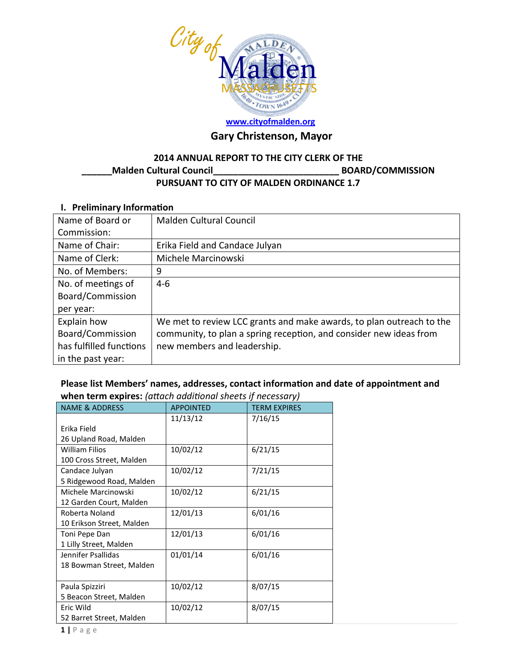

# **[www.cityofmalden.org](http://www.cityofmalden.org/)**

# **Gary Christenson, Mayor**

### **2014 ANNUAL REPORT TO THE CITY CLERK OF THE \_\_\_\_\_\_Malden Cultural Council\_\_\_\_\_\_\_\_\_\_\_\_\_\_\_\_\_\_\_\_\_\_\_\_\_ BOARD/COMMISSION PURSUANT TO CITY OF MALDEN ORDINANCE 1.7**

### **I. Preliminary Information**

| Name of Board or        | <b>Malden Cultural Council</b>                                       |
|-------------------------|----------------------------------------------------------------------|
| Commission:             |                                                                      |
| Name of Chair:          | Erika Field and Candace Julyan                                       |
| Name of Clerk:          | Michele Marcinowski                                                  |
| No. of Members:         | 9                                                                    |
| No. of meetings of      | $4-6$                                                                |
| Board/Commission        |                                                                      |
| per year:               |                                                                      |
| Explain how             | We met to review LCC grants and make awards, to plan outreach to the |
| Board/Commission        | community, to plan a spring reception, and consider new ideas from   |
| has fulfilled functions | new members and leadership.                                          |
| in the past year:       |                                                                      |

### **Please list Members' names, addresses, contact information and date of appointment and when term expires:** *(attach additional sheets if necessary)*

| <b>NAME &amp; ADDRESS</b> | <b>APPOINTED</b> | <b>TERM EXPIRES</b> |
|---------------------------|------------------|---------------------|
|                           | 11/13/12         | 7/16/15             |
| Erika Field               |                  |                     |
| 26 Upland Road, Malden    |                  |                     |
| <b>William Filios</b>     | 10/02/12         | 6/21/15             |
| 100 Cross Street, Malden  |                  |                     |
| Candace Julyan            | 10/02/12         | 7/21/15             |
| 5 Ridgewood Road, Malden  |                  |                     |
| Michele Marcinowski       | 10/02/12         | 6/21/15             |
| 12 Garden Court, Malden   |                  |                     |
| Roberta Noland            | 12/01/13         | 6/01/16             |
| 10 Erikson Street, Malden |                  |                     |
| Toni Pepe Dan             | 12/01/13         | 6/01/16             |
| 1 Lilly Street, Malden    |                  |                     |
| Jennifer Psallidas        | 01/01/14         | 6/01/16             |
| 18 Bowman Street, Malden  |                  |                     |
|                           |                  |                     |
| Paula Spizziri            | 10/02/12         | 8/07/15             |
| 5 Beacon Street, Malden   |                  |                     |
| Eric Wild                 | 10/02/12         | 8/07/15             |
| 52 Barret Street, Malden  |                  |                     |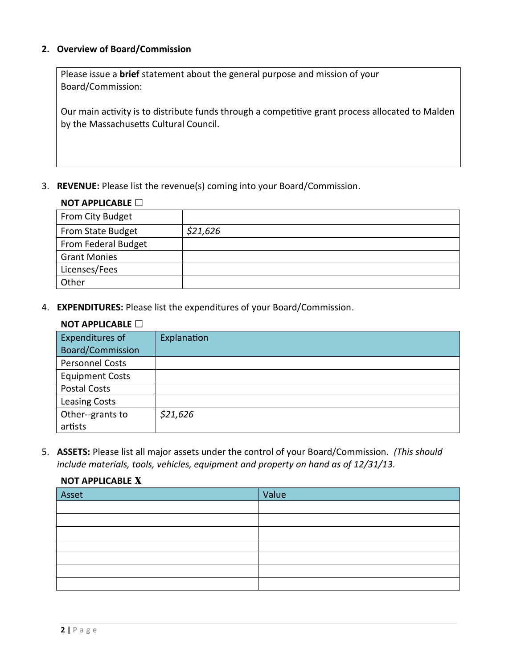### **2. Overview of Board/Commission**

Please issue a **brief** statement about the general purpose and mission of your Board/Commission:

Our main activity is to distribute funds through a competitive grant process allocated to Malden by the Massachusetts Cultural Council.

3. **REVENUE:** Please list the revenue(s) coming into your Board/Commission.

### **NOT APPLICABLE □**

| From City Budget    |          |
|---------------------|----------|
| From State Budget   | \$21,626 |
| From Federal Budget |          |
| <b>Grant Monies</b> |          |
| Licenses/Fees       |          |
| Other               |          |

4. **EXPENDITURES:** Please list the expenditures of your Board/Commission.

### **NOT APPLICABLE □**

**NOT APPLICABLE x**

| Expenditures of         | Explanation |
|-------------------------|-------------|
| <b>Board/Commission</b> |             |
| <b>Personnel Costs</b>  |             |
| <b>Equipment Costs</b>  |             |
| <b>Postal Costs</b>     |             |
| <b>Leasing Costs</b>    |             |
| Other--grants to        | \$21,626    |
| artists                 |             |

5. **ASSETS:** Please list all major assets under the control of your Board/Commission*. (This should include materials, tools, vehicles, equipment and property on hand as of 12/31/13.*

# Asset Value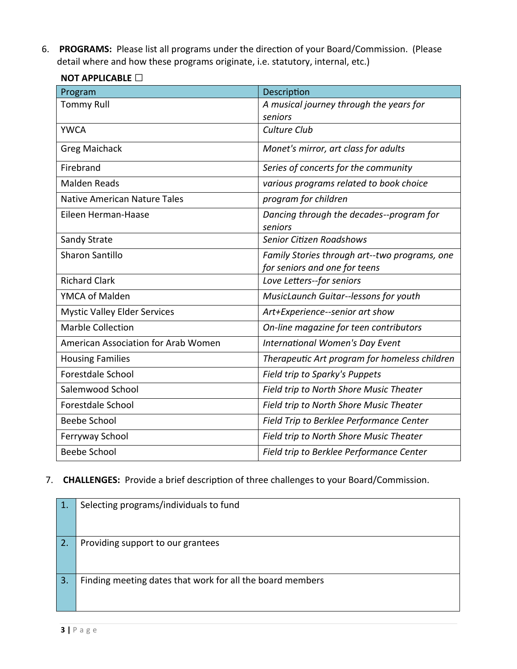6. **PROGRAMS:** Please list all programs under the direction of your Board/Commission. (Please detail where and how these programs originate, i.e. statutory, internal, etc.)

| Program                             | Description                                                                    |  |
|-------------------------------------|--------------------------------------------------------------------------------|--|
| <b>Tommy Rull</b>                   | A musical journey through the years for<br>seniors                             |  |
| <b>YWCA</b>                         | Culture Club                                                                   |  |
| <b>Greg Maichack</b>                | Monet's mirror, art class for adults                                           |  |
| Firebrand                           | Series of concerts for the community                                           |  |
| <b>Malden Reads</b>                 | various programs related to book choice                                        |  |
| <b>Native American Nature Tales</b> | program for children                                                           |  |
| Eileen Herman-Haase                 | Dancing through the decades--program for<br>seniors                            |  |
| Sandy Strate                        | Senior Citizen Roadshows                                                       |  |
| <b>Sharon Santillo</b>              | Family Stories through art--two programs, one<br>for seniors and one for teens |  |
| <b>Richard Clark</b>                | Love Letters--for seniors                                                      |  |
| YMCA of Malden                      | MusicLaunch Guitar--lessons for youth                                          |  |
| <b>Mystic Valley Elder Services</b> | Art+Experience--senior art show                                                |  |
| <b>Marble Collection</b>            | On-line magazine for teen contributors                                         |  |
| American Association for Arab Women | <b>International Women's Day Event</b>                                         |  |
| <b>Housing Families</b>             | Therapeutic Art program for homeless children                                  |  |
| Forestdale School                   | Field trip to Sparky's Puppets                                                 |  |
| Salemwood School                    | Field trip to North Shore Music Theater                                        |  |
| <b>Forestdale School</b>            | Field trip to North Shore Music Theater                                        |  |
| <b>Beebe School</b>                 | Field Trip to Berklee Performance Center                                       |  |
| Ferryway School                     | Field trip to North Shore Music Theater                                        |  |
| <b>Beebe School</b>                 | Field trip to Berklee Performance Center                                       |  |

### **NOT APPLICABLE □**

## 7. **CHALLENGES:** Provide a brief description of three challenges to your Board/Commission.

| 1. | Selecting programs/individuals to fund                    |
|----|-----------------------------------------------------------|
|    |                                                           |
|    |                                                           |
| 2. | Providing support to our grantees                         |
|    |                                                           |
| 3. | Finding meeting dates that work for all the board members |
|    |                                                           |
|    |                                                           |